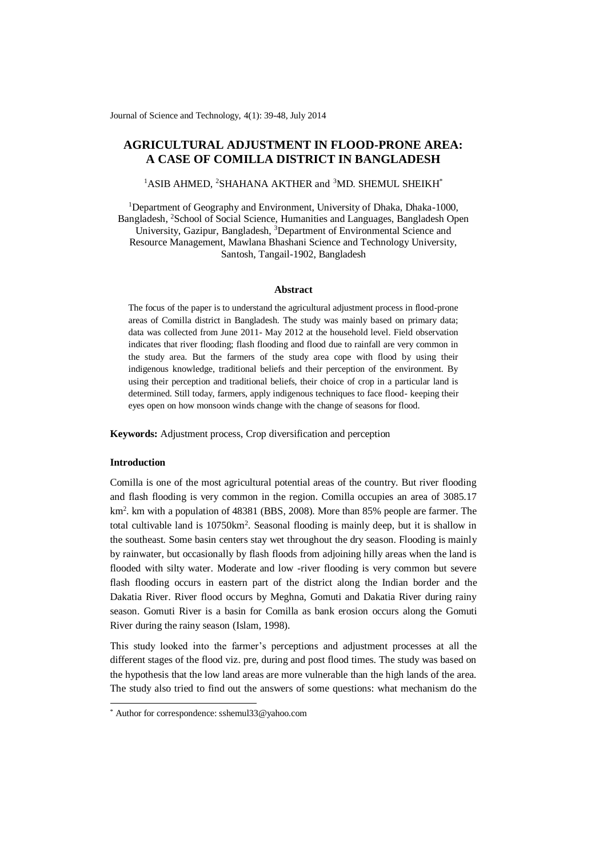Journal of Science and Technology, 4(1): 39-48, July 2014

# **AGRICULTURAL ADJUSTMENT IN FLOOD-PRONE AREA: A CASE OF COMILLA DISTRICT IN BANGLADESH**

# $1$ ASIB AHMED,  $2$ SHAHANA AKTHER and  $3$ MD. SHEMUL SHEIKH $*$

<sup>1</sup>Department of Geography and Environment, University of Dhaka, Dhaka-1000, Bangladesh, <sup>2</sup>School of Social Science, Humanities and Languages, Bangladesh Open University, Gazipur, Bangladesh, <sup>3</sup>Department of Environmental Science and Resource Management, Mawlana Bhashani Science and Technology University, Santosh, Tangail-1902, Bangladesh

#### **Abstract**

The focus of the paper is to understand the agricultural adjustment process in flood-prone areas of Comilla district in Bangladesh. The study was mainly based on primary data; data was collected from June 2011- May 2012 at the household level. Field observation indicates that river flooding; flash flooding and flood due to rainfall are very common in the study area. But the farmers of the study area cope with flood by using their indigenous knowledge, traditional beliefs and their perception of the environment. By using their perception and traditional beliefs, their choice of crop in a particular land is determined. Still today, farmers, apply indigenous techniques to face flood- keeping their eyes open on how monsoon winds change with the change of seasons for flood.

**Keywords:** Adjustment process, Crop diversification and perception

### **Introduction**

-

Comilla is one of the most agricultural potential areas of the country. But river flooding and flash flooding is very common in the region. Comilla occupies an area of 3085.17 km<sup>2</sup>. km with a population of 48381 (BBS, 2008). More than 85% people are farmer. The total cultivable land is 10750km<sup>2</sup>. Seasonal flooding is mainly deep, but it is shallow in the southeast. Some basin centers stay wet throughout the dry season. Flooding is mainly by rainwater, but occasionally by flash floods from adjoining hilly areas when the land is flooded with silty water. Moderate and low -river flooding is very common but severe flash flooding occurs in eastern part of the district along the Indian border and the Dakatia River. River flood occurs by Meghna, Gomuti and Dakatia River during rainy season. Gomuti River is a basin for Comilla as bank erosion occurs along the Gomuti River during the rainy season (Islam, 1998).

This study looked into the farmer's perceptions and adjustment processes at all the different stages of the flood viz. pre, during and post flood times. The study was based on the hypothesis that the low land areas are more vulnerable than the high lands of the area. The study also tried to find out the answers of some questions: what mechanism do the

<sup>\*</sup> Author for correspondence: sshemul33@yahoo.com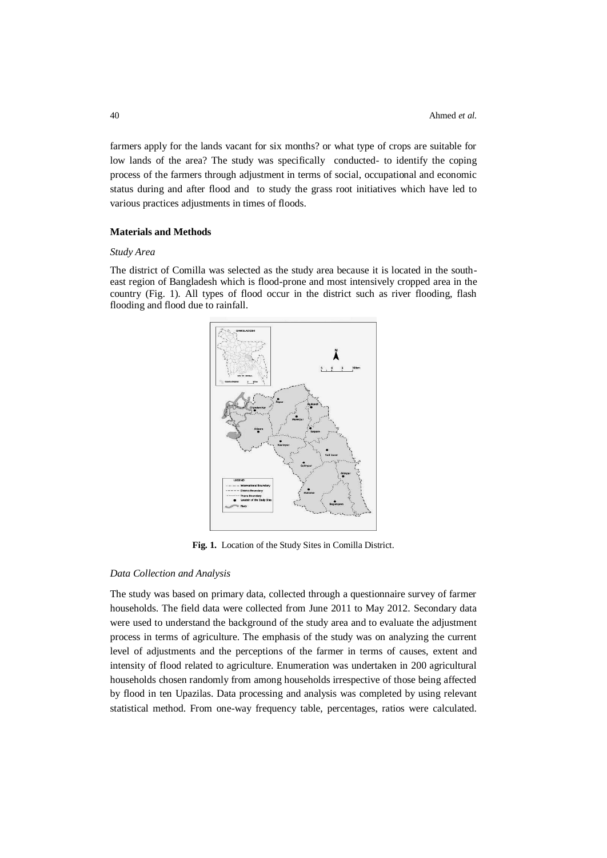farmers apply for the lands vacant for six months? or what type of crops are suitable for low lands of the area? The study was specifically conducted- to identify the coping process of the farmers through adjustment in terms of social, occupational and economic status during and after flood and to study the grass root initiatives which have led to various practices adjustments in times of floods.

# **Materials and Methods**

# *Study Area*

The district of Comilla was selected as the study area because it is located in the southeast region of Bangladesh which is flood-prone and most intensively cropped area in the country (Fig. 1). All types of flood occur in the district such as river flooding, flash flooding and flood due to rainfall.



**Fig. 1.** Location of the Study Sites in Comilla District.

### *Data Collection and Analysis*

The study was based on primary data, collected through a questionnaire survey of farmer households. The field data were collected from June 2011 to May 2012. Secondary data were used to understand the background of the study area and to evaluate the adjustment process in terms of agriculture. The emphasis of the study was on analyzing the current level of adjustments and the perceptions of the farmer in terms of causes, extent and intensity of flood related to agriculture. Enumeration was undertaken in 200 agricultural households chosen randomly from among households irrespective of those being affected by flood in ten Upazilas. Data processing and analysis was completed by using relevant statistical method. From one-way frequency table, percentages, ratios were calculated.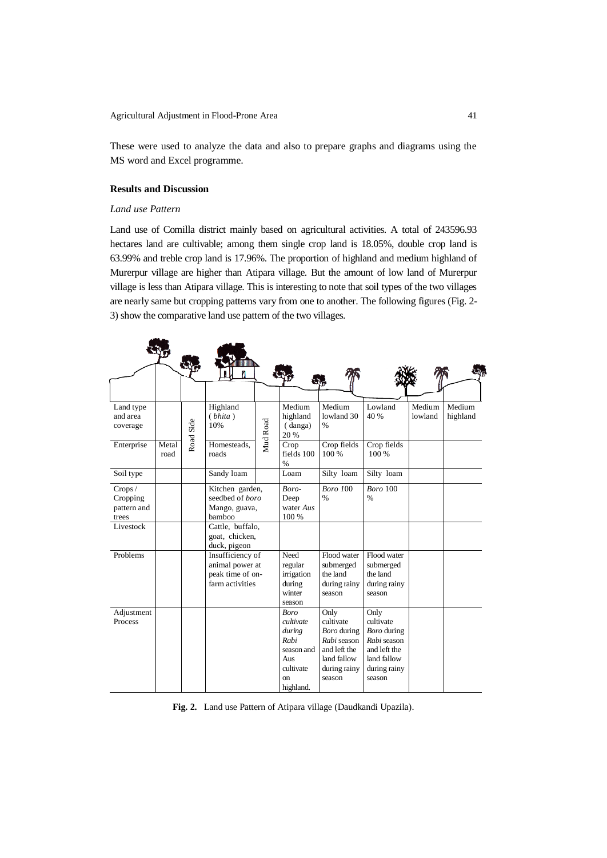These were used to analyze the data and also to prepare graphs and diagrams using the MS word and Excel programme.

# **Results and Discussion**

# *Land use Pattern*

Land use of Comilla district mainly based on agricultural activities. A total of 243596.93 hectares land are cultivable; among them single crop land is 18.05%, double crop land is 63.99% and treble crop land is 17.96%. The proportion of highland and medium highland of Murerpur village are higher than Atipara village. But the amount of low land of Murerpur village is less than Atipara village. This is interesting to note that soil types of the two villages are nearly same but cropping patterns vary from one to another. The following figures (Fig. 2- 3) show the comparative land use pattern of the two villages.

| Land type<br>and area<br>coverage                        |               | Road Side | Highland<br>(bhita)<br>10%                                                                                   | Mud Road | Medium<br>highland<br>(danga)<br>20 %                                                                      | Medium<br>lowland 30<br>$\%$                                                                             | Lowland<br>40 %                                                                                          | Medium<br>lowland | Medium<br>highland |
|----------------------------------------------------------|---------------|-----------|--------------------------------------------------------------------------------------------------------------|----------|------------------------------------------------------------------------------------------------------------|----------------------------------------------------------------------------------------------------------|----------------------------------------------------------------------------------------------------------|-------------------|--------------------|
| Enterprise                                               | Metal<br>road |           | Homesteads.<br>roads                                                                                         |          | Crop<br>fields 100<br>$\frac{0}{0}$                                                                        | Crop fields<br>100 %                                                                                     | Crop fields<br>100 %                                                                                     |                   |                    |
| Soil type                                                |               |           | Sandy loam                                                                                                   |          | Loam                                                                                                       | Silty loam                                                                                               | Silty loam                                                                                               |                   |                    |
| Crops /<br>Cropping<br>pattern and<br>trees<br>Livestock |               |           | Kitchen garden,<br>seedbed of <i>boro</i><br>Mango, guava,<br>bamboo<br>Cattle, buffalo,                     |          | Boro-<br>Deep<br>water Aus<br>100 %                                                                        | Boro 100<br>$\frac{0}{6}$                                                                                | <b>Boro</b> 100<br>$\frac{0}{0}$                                                                         |                   |                    |
| Problems                                                 |               |           | goat, chicken,<br>duck, pigeon<br>Insufficiency of<br>animal power at<br>peak time of on-<br>farm activities |          | Need<br>regular<br>irrigation<br>during<br>winter<br>season                                                | Flood water<br>submerged<br>the land<br>during rainy<br>season                                           | Flood water<br>submerged<br>the land<br>during rainy<br>season                                           |                   |                    |
| Adjustment<br>Process                                    |               |           |                                                                                                              |          | <b>Boro</b><br>cultivate<br>during<br>Rabi<br>season and<br>Aus<br>cultivate<br><sub>on</sub><br>highland. | Only<br>cultivate<br>Boro during<br>Rabi season<br>and left the<br>land fallow<br>during rainy<br>season | Only<br>cultivate<br>Boro during<br>Rabi season<br>and left the<br>land fallow<br>during rainy<br>season |                   |                    |

**Fig. 2.** Land use Pattern of Atipara village (Daudkandi Upazila).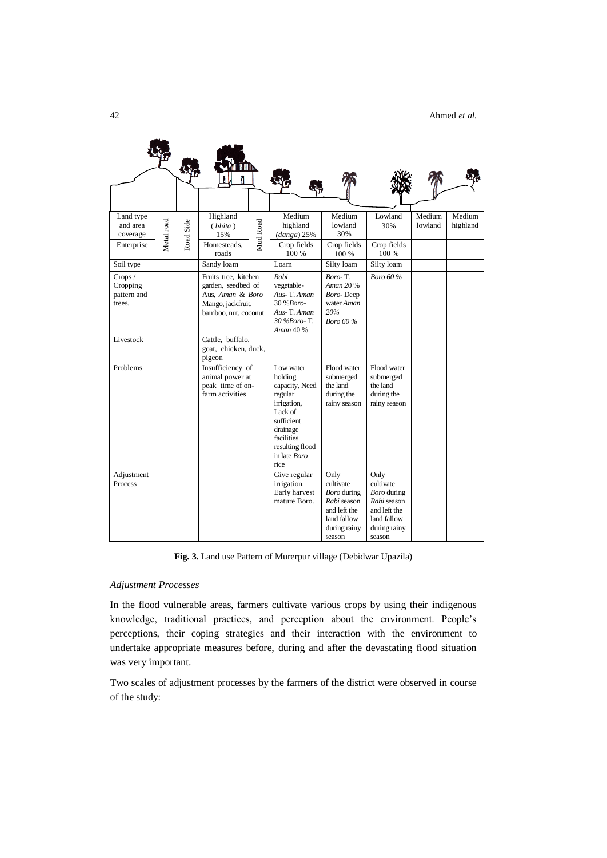| Land type<br>and area<br>coverage            | Metal road | Road Side | Highland<br>(bhita)<br>15%                                                                                  | Mud Road | Medium<br>highland<br>$(danga)$ 25%                                                                                                                            | Medium<br>lowland<br>30%                                                                                 | Lowland<br>30%                                                                                           | Medium<br>lowland | Medium<br>highland |
|----------------------------------------------|------------|-----------|-------------------------------------------------------------------------------------------------------------|----------|----------------------------------------------------------------------------------------------------------------------------------------------------------------|----------------------------------------------------------------------------------------------------------|----------------------------------------------------------------------------------------------------------|-------------------|--------------------|
| Enterprise                                   |            |           | Homesteads,<br>roads                                                                                        |          | Crop fields<br>100 %                                                                                                                                           | Crop fields<br>100 %                                                                                     | Crop fields<br>100 %                                                                                     |                   |                    |
| Soil type                                    |            |           | Sandy loam                                                                                                  |          | Loam                                                                                                                                                           | Silty loam                                                                                               | Silty loam                                                                                               |                   |                    |
| Crops /<br>Cropping<br>pattern and<br>trees. |            |           | Fruits tree, kitchen<br>garden, seedbed of<br>Aus, Aman & Boro<br>Mango, jackfruit,<br>bamboo, nut, coconut |          | Rabi<br>vegetable-<br>Aus-T. Aman<br>30 % Boro-<br>Aus-T. Aman<br>30 %Boro-T.<br>Aman 40 %                                                                     | Boro-T.<br>Aman 20 %<br>Boro-Deep<br>water Aman<br>20%<br><b>Boro 60%</b>                                | <b>Boro 60%</b>                                                                                          |                   |                    |
| Livestock                                    |            |           | Cattle, buffalo,<br>goat, chicken, duck,<br>pigeon                                                          |          |                                                                                                                                                                |                                                                                                          |                                                                                                          |                   |                    |
| Problems                                     |            |           | Insufficiency of<br>animal power at<br>peak time of on-<br>farm activities                                  |          | Low water<br>holding<br>capacity, Need<br>regular<br>irrigation,<br>Lack of<br>sufficient<br>drainage<br>facilities<br>resulting flood<br>in late Boro<br>rice | Flood water<br>submerged<br>the land<br>during the<br>rainy season                                       | Flood water<br>submerged<br>the land<br>during the<br>rainy season                                       |                   |                    |
| Adjustment<br>Process                        |            |           |                                                                                                             |          | Give regular<br>irrigation.<br>Early harvest<br>mature Boro.                                                                                                   | Only<br>cultivate<br>Boro during<br>Rabi season<br>and left the<br>land fallow<br>during rainy<br>season | Only<br>cultivate<br>Boro during<br>Rabi season<br>and left the<br>land fallow<br>during rainy<br>season |                   |                    |

**Fig. 3.** Land use Pattern of Murerpur village (Debidwar Upazila)

# *Adjustment Processes*

In the flood vulnerable areas, farmers cultivate various crops by using their indigenous knowledge, traditional practices, and perception about the environment. People's perceptions, their coping strategies and their interaction with the environment to undertake appropriate measures before, during and after the devastating flood situation was very important.

Two scales of adjustment processes by the farmers of the district were observed in course of the study: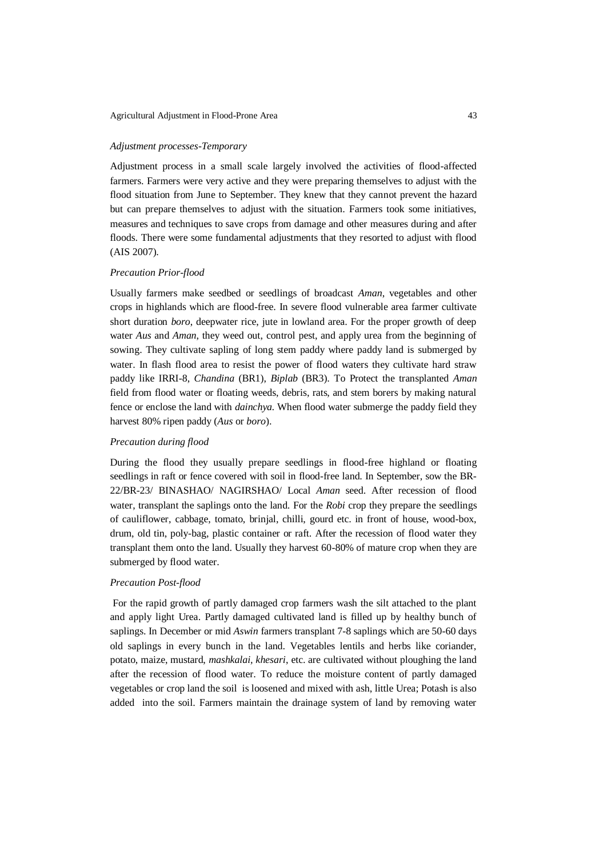#### Agricultural Adjustment in Flood-Prone Area 43

#### *Adjustment processes-Temporary*

Adjustment process in a small scale largely involved the activities of flood-affected farmers. Farmers were very active and they were preparing themselves to adjust with the flood situation from June to September. They knew that they cannot prevent the hazard but can prepare themselves to adjust with the situation. Farmers took some initiatives, measures and techniques to save crops from damage and other measures during and after floods. There were some fundamental adjustments that they resorted to adjust with flood (AIS 2007).

## *Precaution Prior-flood*

Usually farmers make seedbed or seedlings of broadcast *Aman*, vegetables and other crops in highlands which are flood-free. In severe flood vulnerable area farmer cultivate short duration *boro*, deepwater rice, jute in lowland area. For the proper growth of deep water *Aus* and *Aman*, they weed out, control pest, and apply urea from the beginning of sowing. They cultivate sapling of long stem paddy where paddy land is submerged by water. In flash flood area to resist the power of flood waters they cultivate hard straw paddy like IRRI-8, *Chandina* (BR1), *Biplab* (BR3). To Protect the transplanted *Aman* field from flood water or floating weeds, debris, rats, and stem borers by making natural fence or enclose the land with *dainchya.* When flood water submerge the paddy field they harvest 80% ripen paddy (*Aus* or *boro*).

## *Precaution during flood*

During the flood they usually prepare seedlings in flood-free highland or floating seedlings in raft or fence covered with soil in flood-free land. In September, sow the BR-22/BR-23/ BINASHAO/ NAGIRSHAO/ Local *Aman* seed. After recession of flood water, transplant the saplings onto the land. For the *Robi* crop they prepare the seedlings of cauliflower, cabbage, tomato, brinjal, chilli, gourd etc. in front of house, wood-box, drum, old tin, poly-bag, plastic container or raft. After the recession of flood water they transplant them onto the land. Usually they harvest 60-80% of mature crop when they are submerged by flood water.

#### *Precaution Post-flood*

For the rapid growth of partly damaged crop farmers wash the silt attached to the plant and apply light Urea. Partly damaged cultivated land is filled up by healthy bunch of saplings. In December or mid *Aswin* farmers transplant 7-8 saplings which are 50-60 days old saplings in every bunch in the land. Vegetables lentils and herbs like coriander, potato, maize, mustard, *mashkalai, khesari*, etc. are cultivated without ploughing the land after the recession of flood water. To reduce the moisture content of partly damaged vegetables or crop land the soil is loosened and mixed with ash, little Urea; Potash is also added into the soil. Farmers maintain the drainage system of land by removing water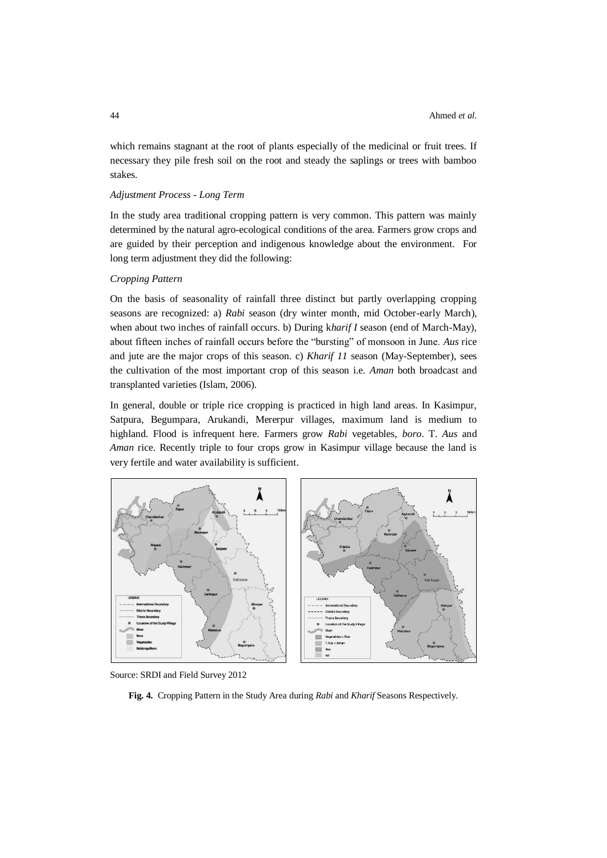which remains stagnant at the root of plants especially of the medicinal or fruit trees. If necessary they pile fresh soil on the root and steady the saplings or trees with bamboo stakes.

# *Adjustment Process - Long Term*

In the study area traditional cropping pattern is very common. This pattern was mainly determined by the natural agro-ecological conditions of the area. Farmers grow crops and are guided by their perception and indigenous knowledge about the environment. For long term adjustment they did the following:

## *Cropping Pattern*

On the basis of seasonality of rainfall three distinct but partly overlapping cropping seasons are recognized: a) *Rabi* season (dry winter month, mid October-early March), when about two inches of rainfall occurs. b) During k*harif I* season (end of March-May), about fifteen inches of rainfall occurs before the "bursting" of monsoon in June. *Aus* rice and jute are the major crops of this season. c) *Kharif 11* season (May-September), sees the cultivation of the most important crop of this season i.e. *Aman* both broadcast and transplanted varieties (Islam, 2006).

In general, double or triple rice cropping is practiced in high land areas. In Kasimpur, Satpura, Begumpara, Arukandi*,* Mererpur villages, maximum land is medium to highland. Flood is infrequent here. Farmers grow *Rabi* vegetables, *boro*. T. *Aus* and *Aman* rice. Recently triple to four crops grow in Kasimpur village because the land is very fertile and water availability is sufficient.



Source: SRDI and Field Survey 2012

**Fig. 4.** Cropping Pattern in the Study Area during *Rabi* and *Kharif* Seasons Respectively.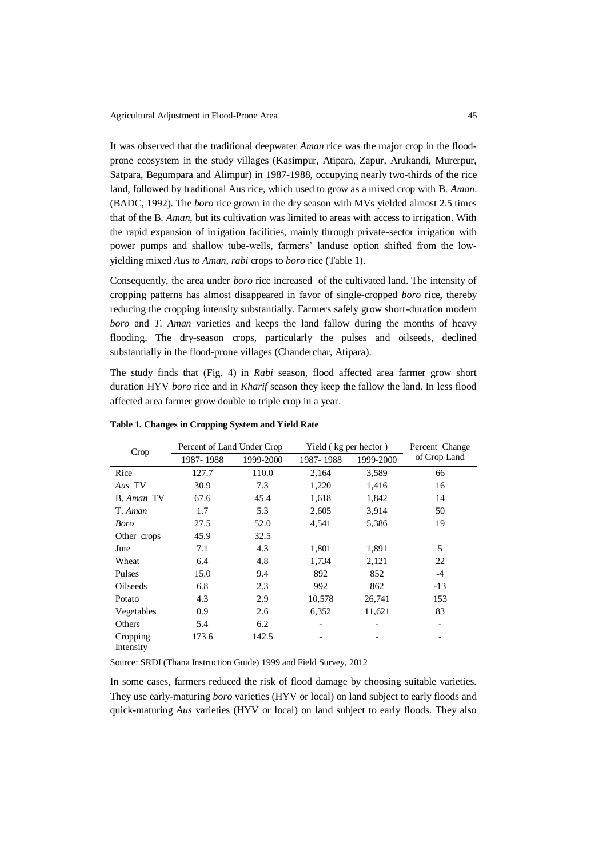It was observed that the traditional deepwater *Aman* rice was the major crop in the floodprone ecosystem in the study villages (Kasimpur, Atipara, Zapur, Arukandi, Murerpur, Satpara, Begumpara and Alimpur) in 1987-1988, occupying nearly two-thirds of the rice land, followed by traditional Aus rice, which used to grow as a mixed crop with B. *Aman*. (BADC, 1992). The *boro* rice grown in the dry season with MVs yielded almost 2.5 times that of the B. *Aman*, but its cultivation was limited to areas with access to irrigation. With the rapid expansion of irrigation facilities, mainly through private-sector irrigation with power pumps and shallow tube-wells, farmers' landuse option shifted from the lowyielding mixed *Aus to Aman, rabi* crops to *boro* rice (Table 1).

Consequently, the area under *boro* rice increased of the cultivated land. The intensity of cropping patterns has almost disappeared in favor of single-cropped *boro* rice, thereby reducing the cropping intensity substantially. Farmers safely grow short-duration modern *boro* and *T. Aman* varieties and keeps the land fallow during the months of heavy flooding. The dry-season crops, particularly the pulses and oilseeds, declined substantially in the flood-prone villages (Chanderchar, Atipara).

The study finds that (Fig. 4) in *Rabi* season, flood affected area farmer grow short duration HYV *boro* rice and in *Kharif* season they keep the fallow the land. In less flood affected area farmer grow double to triple crop in a year.

| Crop                  | Percent of Land Under Crop |           | Yield (kg per hector)        | Percent Change |              |  |
|-----------------------|----------------------------|-----------|------------------------------|----------------|--------------|--|
|                       | 1987-1988                  | 1999-2000 | 1987-1988                    | 1999-2000      | of Crop Land |  |
| Rice                  | 127.7                      | 110.0     | 2,164                        | 3,589          | 66           |  |
| Aus TV                | 30.9                       | 7.3       | 1,220                        | 1,416          | 16           |  |
| B. Aman TV            | 67.6                       | 45.4      | 1,618                        | 1,842          | 14           |  |
| T. Aman               | 1.7                        | 5.3       | 2,605                        | 3,914          | 50           |  |
| Boro                  | 27.5                       | 52.0      | 4,541                        | 5,386          | 19           |  |
| Other crops           | 45.9                       | 32.5      |                              |                |              |  |
| Jute                  | 7.1                        | 4.3       | 1,801                        | 1,891          | 5            |  |
| Wheat                 | 6.4                        | 4.8       | 1,734                        | 2,121          | 22           |  |
| Pulses                | 15.0                       | 9.4       | 892                          | 852            | $-4$         |  |
| Oilseeds              | 6.8                        | 2.3       | 992                          | 862            | $-13$        |  |
| Potato                | 4.3                        | 2.9       | 10,578                       | 26,741         | 153          |  |
| Vegetables            | 0.9                        | 2.6       | 6,352                        | 11,621         | 83           |  |
| Others                | 5.4                        | 6.2       | $\qquad \qquad \blacksquare$ |                |              |  |
| Cropping<br>Intensity | 173.6                      | 142.5     |                              |                |              |  |

**Table 1. Changes in Cropping System and Yield Rate**

Source: SRDI (Thana Instruction Guide) 1999 and Field Survey, 2012

In some cases, farmers reduced the risk of flood damage by choosing suitable varieties. They use early-maturing *boro* varieties (HYV or local) on land subject to early floods and quick-maturing *Aus* varieties (HYV or local) on land subject to early floods. They also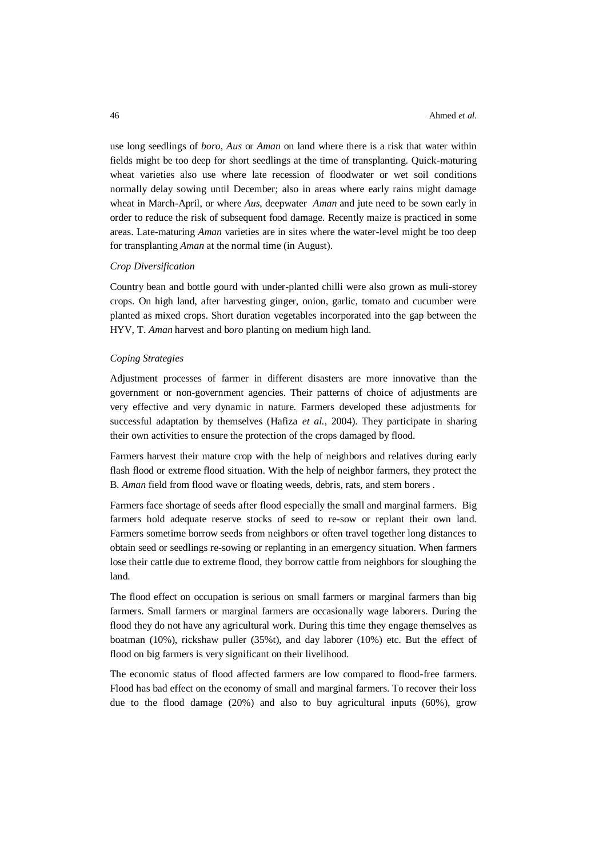use long seedlings of *boro*, *Aus* or *Aman* on land where there is a risk that water within fields might be too deep for short seedlings at the time of transplanting. Quick-maturing wheat varieties also use where late recession of floodwater or wet soil conditions normally delay sowing until December; also in areas where early rains might damage wheat in March-April, or where *Aus*, deepwater *Aman* and jute need to be sown early in order to reduce the risk of subsequent food damage. Recently maize is practiced in some areas. Late-maturing *Aman* varieties are in sites where the water-level might be too deep for transplanting *Aman* at the normal time (in August).

#### *Crop Diversification*

Country bean and bottle gourd with under-planted chilli were also grown as muli-storey crops. On high land, after harvesting ginger, onion, garlic, tomato and cucumber were planted as mixed crops. Short duration vegetables incorporated into the gap between the HYV, T. *Aman* harvest and b*oro* planting on medium high land.

### *Coping Strategies*

Adjustment processes of farmer in different disasters are more innovative than the government or non-government agencies. Their patterns of choice of adjustments are very effective and very dynamic in nature. Farmers developed these adjustments for successful adaptation by themselves (Hafiza *et al.*, 2004). They participate in sharing their own activities to ensure the protection of the crops damaged by flood.

Farmers harvest their mature crop with the help of neighbors and relatives during early flash flood or extreme flood situation. With the help of neighbor farmers, they protect the B. *Aman* field from flood wave or floating weeds, debris, rats, and stem borers .

Farmers face shortage of seeds after flood especially the small and marginal farmers. Big farmers hold adequate reserve stocks of seed to re-sow or replant their own land. Farmers sometime borrow seeds from neighbors or often travel together long distances to obtain seed or seedlings re-sowing or replanting in an emergency situation. When farmers lose their cattle due to extreme flood, they borrow cattle from neighbors for sloughing the land.

The flood effect on occupation is serious on small farmers or marginal farmers than big farmers. Small farmers or marginal farmers are occasionally wage laborers. During the flood they do not have any agricultural work. During this time they engage themselves as boatman (10%), rickshaw puller (35%t), and day laborer (10%) etc. But the effect of flood on big farmers is very significant on their livelihood.

The economic status of flood affected farmers are low compared to flood-free farmers. Flood has bad effect on the economy of small and marginal farmers. To recover their loss due to the flood damage (20%) and also to buy agricultural inputs (60%), grow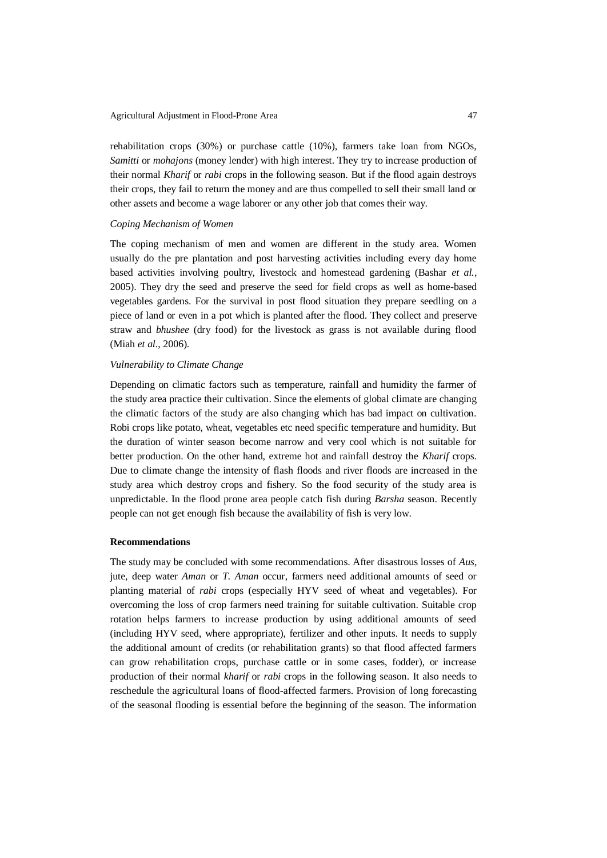rehabilitation crops (30%) or purchase cattle (10%), farmers take loan from NGOs, *Samitti* or *mohajons* (money lender) with high interest. They try to increase production of their normal *Kharif* or *rabi* crops in the following season. But if the flood again destroys their crops, they fail to return the money and are thus compelled to sell their small land or other assets and become a wage laborer or any other job that comes their way.

#### *Coping Mechanism of Women*

The coping mechanism of men and women are different in the study area. Women usually do the pre plantation and post harvesting activities including every day home based activities involving poultry, livestock and homestead gardening (Bashar *et al.,*  2005). They dry the seed and preserve the seed for field crops as well as home-based vegetables gardens. For the survival in post flood situation they prepare seedling on a piece of land or even in a pot which is planted after the flood. They collect and preserve straw and *bhushee* (dry food) for the livestock as grass is not available during flood (Miah *et al.*, 2006).

# *Vulnerability to Climate Change*

Depending on climatic factors such as temperature, rainfall and humidity the farmer of the study area practice their cultivation. Since the elements of global climate are changing the climatic factors of the study are also changing which has bad impact on cultivation. Robi crops like potato, wheat, vegetables etc need specific temperature and humidity. But the duration of winter season become narrow and very cool which is not suitable for better production. On the other hand, extreme hot and rainfall destroy the *Kharif* crops. Due to climate change the intensity of flash floods and river floods are increased in the study area which destroy crops and fishery. So the food security of the study area is unpredictable. In the flood prone area people catch fish during *Barsha* season. Recently people can not get enough fish because the availability of fish is very low.

#### **Recommendations**

The study may be concluded with some recommendations. After disastrous losses of *Aus*, jute, deep water *Aman* or *T. Aman* occur, farmers need additional amounts of seed or planting material of *rabi* crops (especially HYV seed of wheat and vegetables). For overcoming the loss of crop farmers need training for suitable cultivation. Suitable crop rotation helps farmers to increase production by using additional amounts of seed (including HYV seed, where appropriate), fertilizer and other inputs. It needs to supply the additional amount of credits (or rehabilitation grants) so that flood affected farmers can grow rehabilitation crops, purchase cattle or in some cases, fodder), or increase production of their normal *kharif* or *rabi* crops in the following season. It also needs to reschedule the agricultural loans of flood-affected farmers. Provision of long forecasting of the seasonal flooding is essential before the beginning of the season. The information